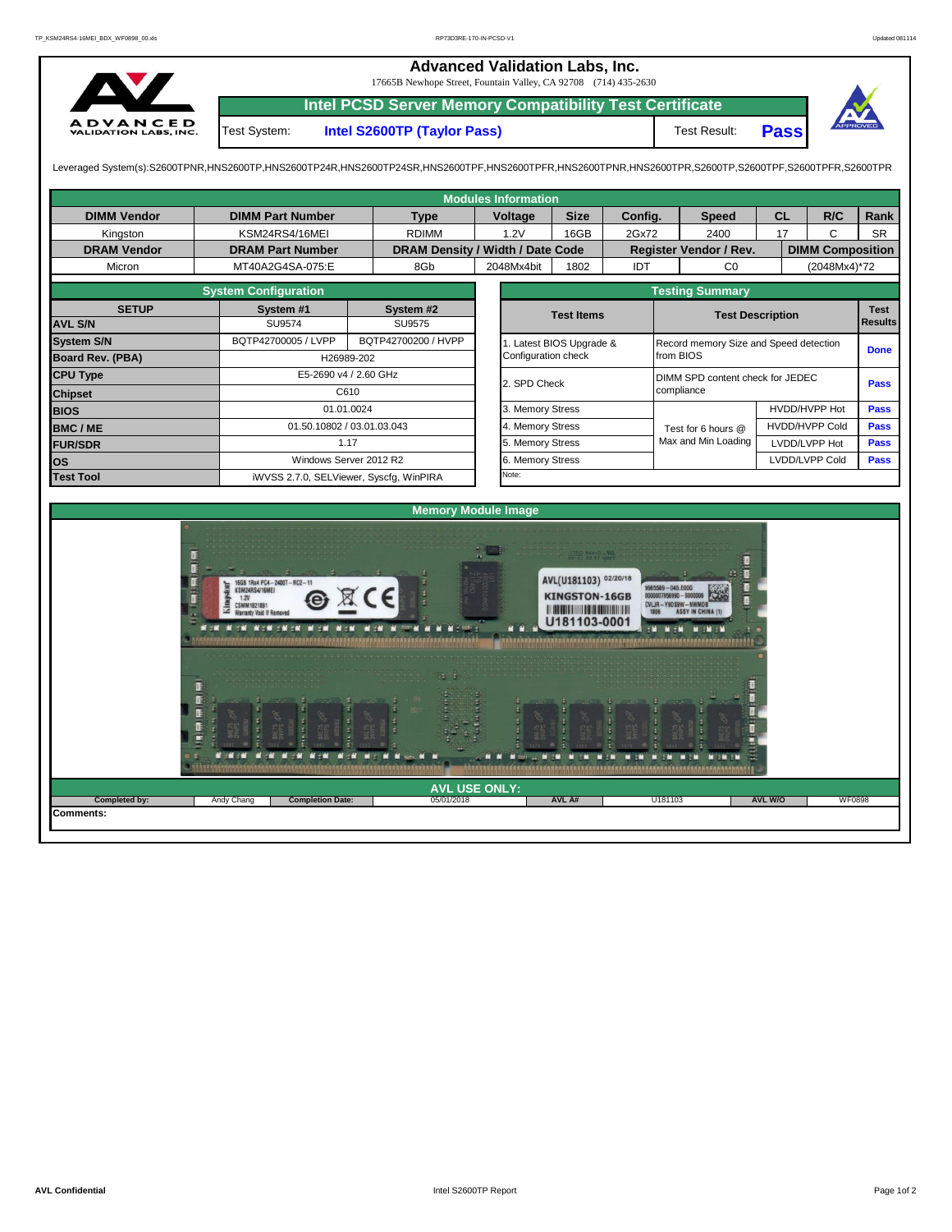|                                                 |                                                                                                                                                                | 17665B Newhope Street, Fountain Valley, CA 92708 (714) 435-2630<br><b>Intel PCSD Server Memory Compatibility Test Certificate</b> | <b>Advanced Validation Labs, Inc.</b> |             |         |              |             |     |         |
|-------------------------------------------------|----------------------------------------------------------------------------------------------------------------------------------------------------------------|-----------------------------------------------------------------------------------------------------------------------------------|---------------------------------------|-------------|---------|--------------|-------------|-----|---------|
| <b>ADVANCED</b><br><b>VALIDATION LABS, INC.</b> | Test System:                                                                                                                                                   | Intel S2600TP (Taylor Pass)                                                                                                       |                                       |             |         | Test Result: | <b>Pass</b> |     | PPROVED |
|                                                 | Leveraged System(s):S2600TPNR,HNS2600TP,HNS2600TP24R,HNS2600TP24SR,HNS2600TPF,HNS2600TPFR,HNS2600TPNR,HNS2600TPR,S2600TP,S2600TPF,S2600TPF,S2600TPFR,S2600TPR, |                                                                                                                                   |                                       |             |         |              |             |     |         |
|                                                 |                                                                                                                                                                |                                                                                                                                   | Modules Information                   |             |         |              |             |     |         |
| <b>DIMM Vendor</b>                              | <b>DIMM Part Number</b>                                                                                                                                        | Type                                                                                                                              | <b>Voltage</b>                        | <b>Size</b> | Config. | <b>Speed</b> | <b>CL</b>   | R/C | Rank I  |

| Kingston           | KSM24RS4/16MEI              | <b>RDIMM</b>                            | 1.2V                | 16GB                  | 2Gx72 | 2400                                   | 17             | C                       | <b>SR</b>   |  |  |
|--------------------|-----------------------------|-----------------------------------------|---------------------|-----------------------|-------|----------------------------------------|----------------|-------------------------|-------------|--|--|
| <b>DRAM Vendor</b> | <b>DRAM Part Number</b>     | DRAM Density / Width / Date Code        |                     |                       |       | Register Vendor / Rev.                 |                | <b>DIMM Composition</b> |             |  |  |
| Micron             | MT40A2G4SA-075:E            | 8Gb                                     | 2048Mx4bit          | 1802                  |       | C <sub>0</sub>                         |                | (2048Mx4)*72            |             |  |  |
|                    | <b>System Configuration</b> |                                         |                     |                       |       | <b>Testing Summary</b>                 |                |                         |             |  |  |
| <b>SETUP</b>       | System #1                   | System #2                               |                     | <b>Test Items</b>     |       | <b>Test Description</b>                |                | <b>Test</b>             |             |  |  |
| <b>AVL S/N</b>     | SU9574                      | SU9575                                  |                     |                       |       |                                        |                |                         |             |  |  |
| <b>System S/N</b>  | BQTP42700005 / LVPP         | BQTP42700200 / HVPP                     |                     | Latest BIOS Upgrade & |       | Record memory Size and Speed detection |                |                         |             |  |  |
| Board Rev. (PBA)   |                             | H26989-202                              | Configuration check |                       |       | from BIOS                              |                |                         |             |  |  |
| <b>CPU Type</b>    |                             | E5-2690 v4 / 2.60 GHz                   | 2. SPD Check        |                       |       | DIMM SPD content check for JEDEC       |                |                         |             |  |  |
| <b>Chipset</b>     |                             | C610                                    |                     |                       |       | compliance                             |                |                         | <b>Pass</b> |  |  |
| <b>BIOS</b>        |                             | 01.01.0024                              | . Memory Stress     |                       |       |                                        | HVDD/HVPP Hot  | <b>Pass</b>             |             |  |  |
| <b>BMC/ME</b>      |                             | 01.50.10802 / 03.01.03.043              | 4. Memory Stress    |                       |       | Test for 6 hours @                     |                | <b>HVDD/HVPP Cold</b>   | <b>Pass</b> |  |  |
| <b>FUR/SDR</b>     |                             | 1.17                                    |                     |                       |       | Max and Min Loading                    | LVDD/LVPP Hot  |                         | <b>Pass</b> |  |  |
| <b>los</b>         |                             | Windows Server 2012 R2                  | 6. Memory Stress    |                       |       |                                        | LVDD/LVPP Cold | <b>Pass</b>             |             |  |  |
| <b>Test Tool</b>   |                             | iWVSS 2.7.0, SELViewer, Syscfq, WinPIRA | Note:               |                       |       |                                        |                |                         |             |  |  |
|                    |                             |                                         |                     |                       |       |                                        |                |                         |             |  |  |